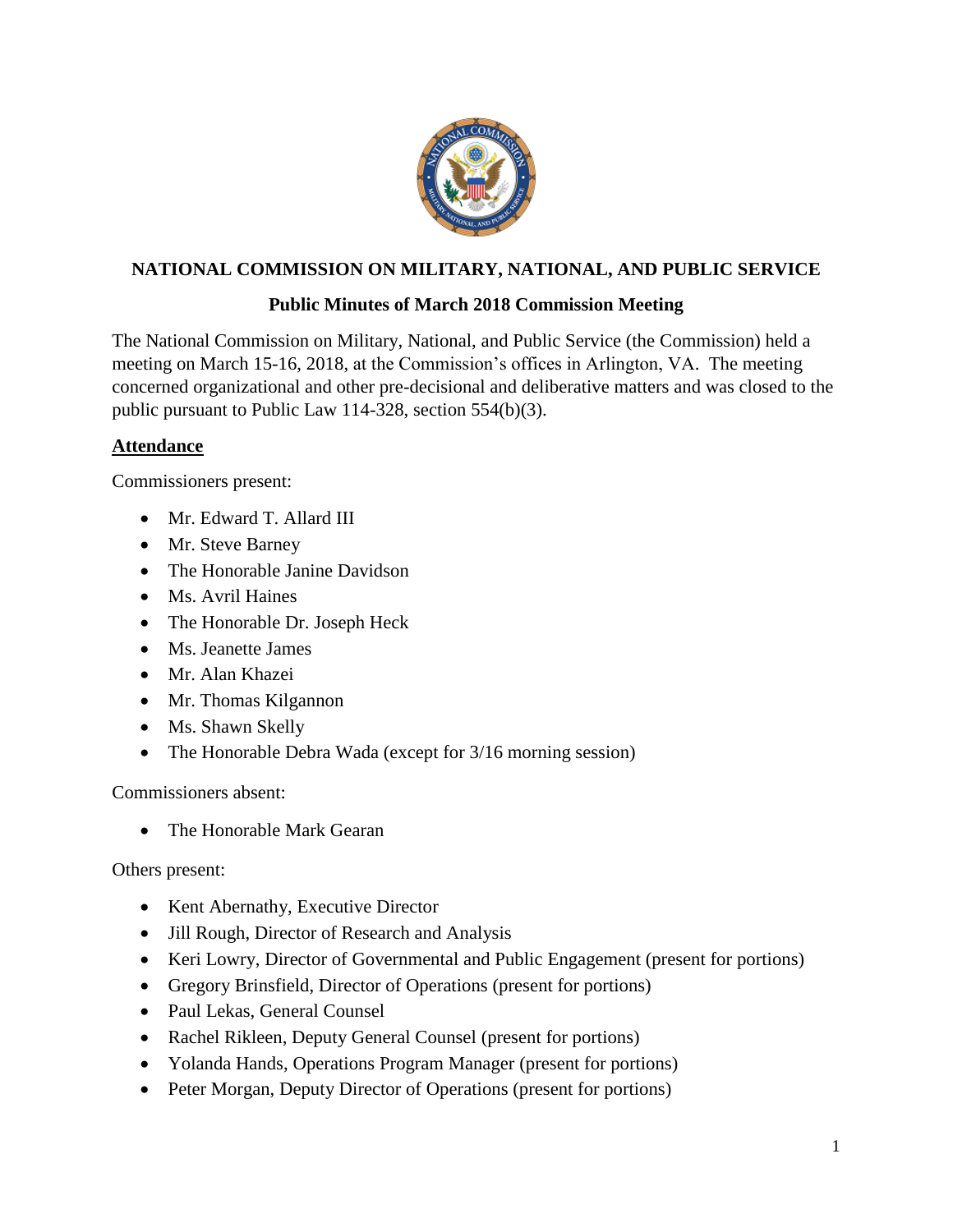

# **NATIONAL COMMISSION ON MILITARY, NATIONAL, AND PUBLIC SERVICE**

# **Public Minutes of March 2018 Commission Meeting**

The National Commission on Military, National, and Public Service (the Commission) held a meeting on March 15-16, 2018, at the Commission's offices in Arlington, VA. The meeting concerned organizational and other pre-decisional and deliberative matters and was closed to the public pursuant to Public Law 114-328, section 554(b)(3).

## **Attendance**

Commissioners present:

- Mr. Edward T. Allard III
- Mr. Steve Barney
- The Honorable Janine Davidson
- Ms. Avril Haines
- The Honorable Dr. Joseph Heck
- Ms. Jeanette James
- Mr. Alan Khazei
- Mr. Thomas Kilgannon
- Ms. Shawn Skelly
- The Honorable Debra Wada (except for 3/16 morning session)

Commissioners absent:

• The Honorable Mark Gearan

Others present:

- Kent Abernathy, Executive Director
- Jill Rough, Director of Research and Analysis
- Keri Lowry, Director of Governmental and Public Engagement (present for portions)
- Gregory Brinsfield, Director of Operations (present for portions)
- Paul Lekas, General Counsel
- Rachel Rikleen, Deputy General Counsel (present for portions)
- Yolanda Hands, Operations Program Manager (present for portions)
- Peter Morgan, Deputy Director of Operations (present for portions)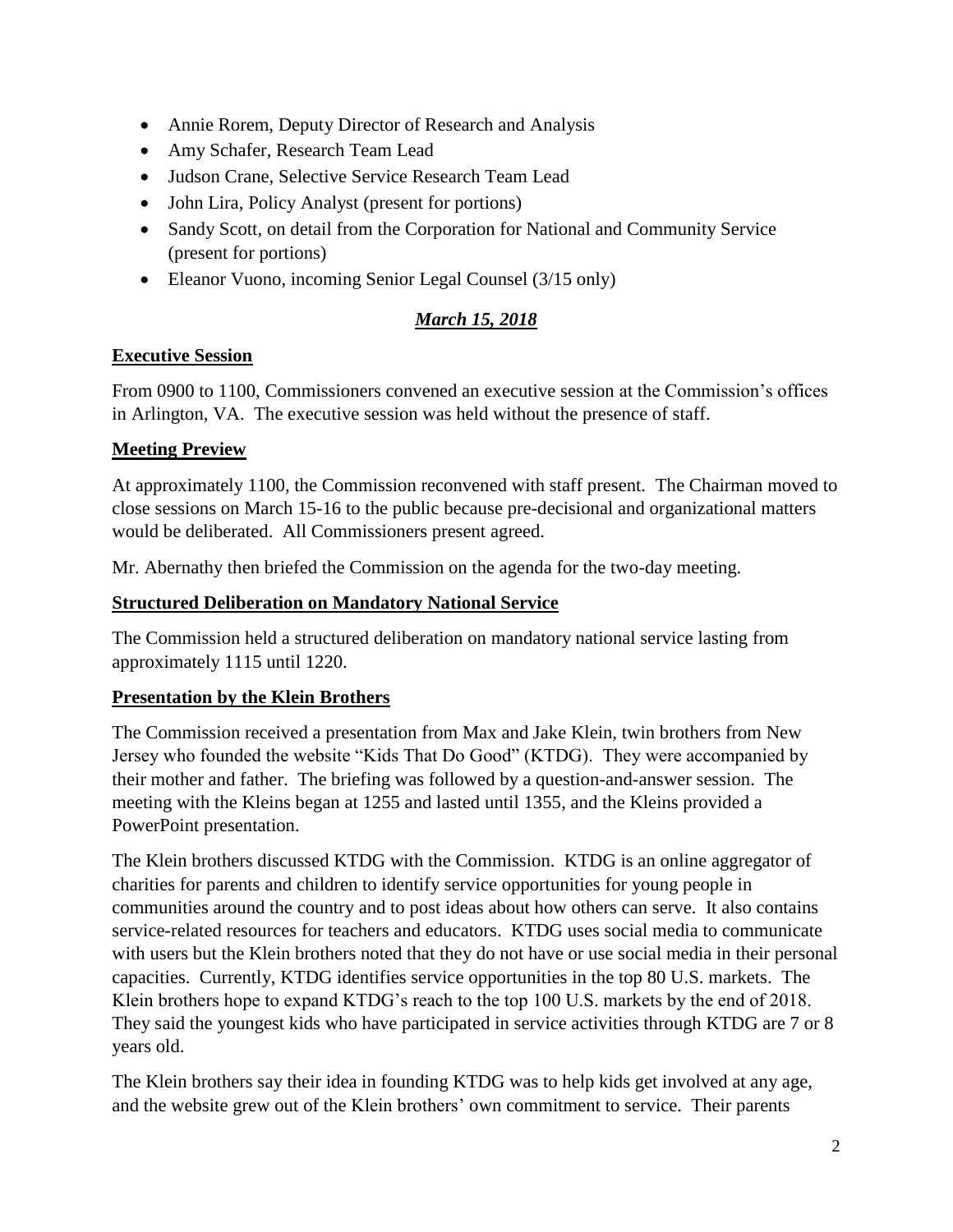- Annie Rorem, Deputy Director of Research and Analysis
- Amy Schafer, Research Team Lead
- Judson Crane, Selective Service Research Team Lead
- John Lira, Policy Analyst (present for portions)
- Sandy Scott, on detail from the Corporation for National and Community Service (present for portions)
- Eleanor Vuono, incoming Senior Legal Counsel (3/15 only)

# *March 15, 2018*

## **Executive Session**

From 0900 to 1100, Commissioners convened an executive session at the Commission's offices in Arlington, VA. The executive session was held without the presence of staff.

## **Meeting Preview**

At approximately 1100, the Commission reconvened with staff present. The Chairman moved to close sessions on March 15-16 to the public because pre-decisional and organizational matters would be deliberated. All Commissioners present agreed.

Mr. Abernathy then briefed the Commission on the agenda for the two-day meeting.

### **Structured Deliberation on Mandatory National Service**

The Commission held a structured deliberation on mandatory national service lasting from approximately 1115 until 1220.

# **Presentation by the Klein Brothers**

The Commission received a presentation from Max and Jake Klein, twin brothers from New Jersey who founded the website "Kids That Do Good" (KTDG). They were accompanied by their mother and father. The briefing was followed by a question-and-answer session. The meeting with the Kleins began at 1255 and lasted until 1355, and the Kleins provided a PowerPoint presentation.

The Klein brothers discussed KTDG with the Commission. KTDG is an online aggregator of charities for parents and children to identify service opportunities for young people in communities around the country and to post ideas about how others can serve. It also contains service-related resources for teachers and educators. KTDG uses social media to communicate with users but the Klein brothers noted that they do not have or use social media in their personal capacities. Currently, KTDG identifies service opportunities in the top 80 U.S. markets. The Klein brothers hope to expand KTDG's reach to the top 100 U.S. markets by the end of 2018. They said the youngest kids who have participated in service activities through KTDG are 7 or 8 years old.

The Klein brothers say their idea in founding KTDG was to help kids get involved at any age, and the website grew out of the Klein brothers' own commitment to service. Their parents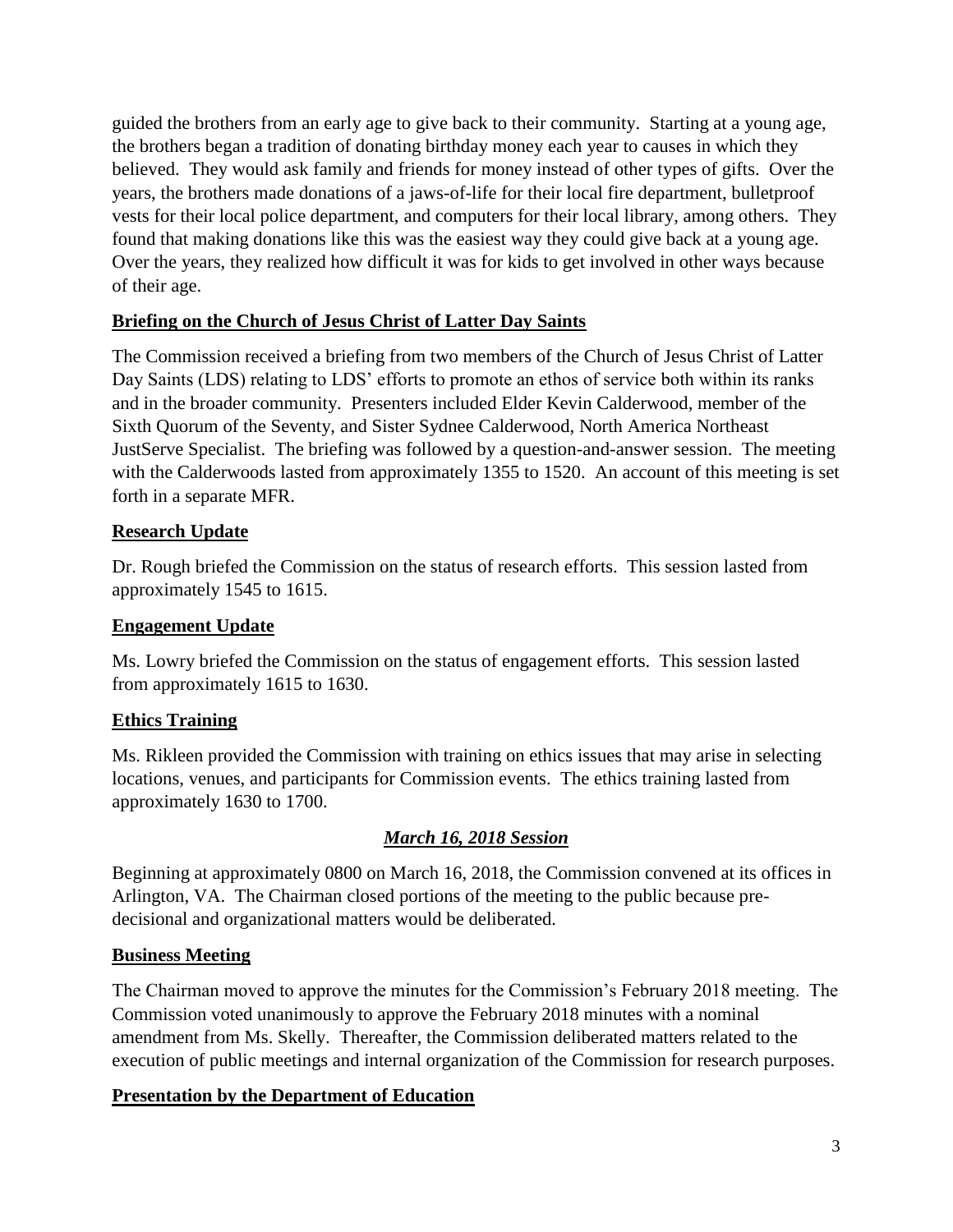guided the brothers from an early age to give back to their community. Starting at a young age, the brothers began a tradition of donating birthday money each year to causes in which they believed. They would ask family and friends for money instead of other types of gifts. Over the years, the brothers made donations of a jaws-of-life for their local fire department, bulletproof vests for their local police department, and computers for their local library, among others. They found that making donations like this was the easiest way they could give back at a young age. Over the years, they realized how difficult it was for kids to get involved in other ways because of their age.

## **Briefing on the Church of Jesus Christ of Latter Day Saints**

The Commission received a briefing from two members of the Church of Jesus Christ of Latter Day Saints (LDS) relating to LDS' efforts to promote an ethos of service both within its ranks and in the broader community. Presenters included Elder Kevin Calderwood, member of the Sixth Quorum of the Seventy, and Sister Sydnee Calderwood, North America Northeast JustServe Specialist. The briefing was followed by a question-and-answer session. The meeting with the Calderwoods lasted from approximately 1355 to 1520. An account of this meeting is set forth in a separate MFR.

### **Research Update**

Dr. Rough briefed the Commission on the status of research efforts. This session lasted from approximately 1545 to 1615.

## **Engagement Update**

Ms. Lowry briefed the Commission on the status of engagement efforts. This session lasted from approximately 1615 to 1630.

### **Ethics Training**

Ms. Rikleen provided the Commission with training on ethics issues that may arise in selecting locations, venues, and participants for Commission events. The ethics training lasted from approximately 1630 to 1700.

# *March 16, 2018 Session*

Beginning at approximately 0800 on March 16, 2018, the Commission convened at its offices in Arlington, VA. The Chairman closed portions of the meeting to the public because predecisional and organizational matters would be deliberated.

### **Business Meeting**

The Chairman moved to approve the minutes for the Commission's February 2018 meeting. The Commission voted unanimously to approve the February 2018 minutes with a nominal amendment from Ms. Skelly. Thereafter, the Commission deliberated matters related to the execution of public meetings and internal organization of the Commission for research purposes.

### **Presentation by the Department of Education**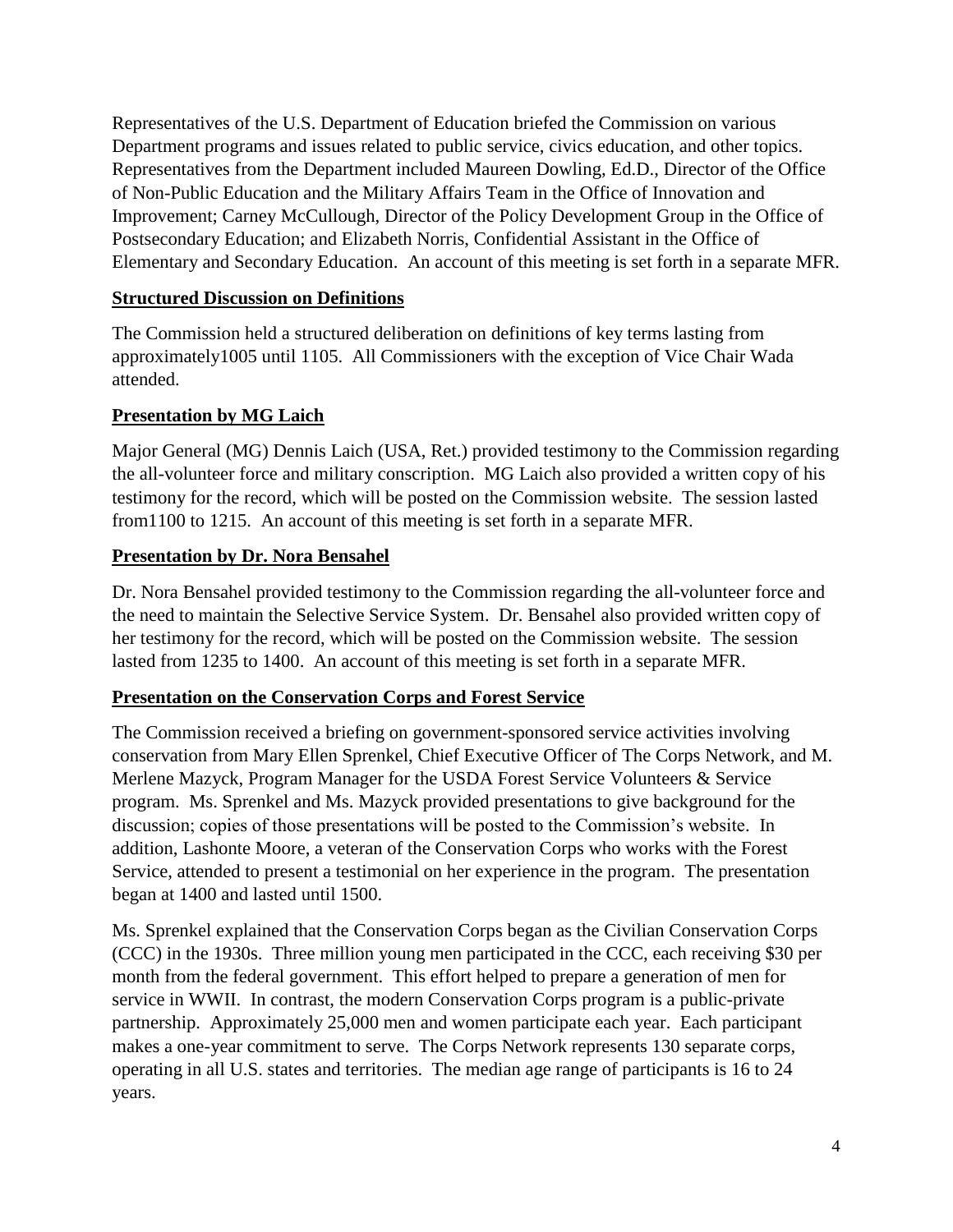Representatives of the U.S. Department of Education briefed the Commission on various Department programs and issues related to public service, civics education, and other topics. Representatives from the Department included Maureen Dowling, Ed.D., Director of the Office of Non-Public Education and the Military Affairs Team in the Office of Innovation and Improvement; Carney McCullough, Director of the Policy Development Group in the Office of Postsecondary Education; and Elizabeth Norris, Confidential Assistant in the Office of Elementary and Secondary Education. An account of this meeting is set forth in a separate MFR.

## **Structured Discussion on Definitions**

The Commission held a structured deliberation on definitions of key terms lasting from approximately1005 until 1105. All Commissioners with the exception of Vice Chair Wada attended.

# **Presentation by MG Laich**

Major General (MG) Dennis Laich (USA, Ret.) provided testimony to the Commission regarding the all-volunteer force and military conscription. MG Laich also provided a written copy of his testimony for the record, which will be posted on the Commission website. The session lasted from1100 to 1215. An account of this meeting is set forth in a separate MFR.

## **Presentation by Dr. Nora Bensahel**

Dr. Nora Bensahel provided testimony to the Commission regarding the all-volunteer force and the need to maintain the Selective Service System. Dr. Bensahel also provided written copy of her testimony for the record, which will be posted on the Commission website. The session lasted from 1235 to 1400. An account of this meeting is set forth in a separate MFR.

### **Presentation on the Conservation Corps and Forest Service**

The Commission received a briefing on government-sponsored service activities involving conservation from Mary Ellen Sprenkel, Chief Executive Officer of The Corps Network, and M. Merlene Mazyck, Program Manager for the USDA Forest Service Volunteers & Service program. Ms. Sprenkel and Ms. Mazyck provided presentations to give background for the discussion; copies of those presentations will be posted to the Commission's website. In addition, Lashonte Moore, a veteran of the Conservation Corps who works with the Forest Service, attended to present a testimonial on her experience in the program. The presentation began at 1400 and lasted until 1500.

Ms. Sprenkel explained that the Conservation Corps began as the Civilian Conservation Corps (CCC) in the 1930s. Three million young men participated in the CCC, each receiving \$30 per month from the federal government. This effort helped to prepare a generation of men for service in WWII. In contrast, the modern Conservation Corps program is a public-private partnership. Approximately 25,000 men and women participate each year. Each participant makes a one-year commitment to serve. The Corps Network represents 130 separate corps, operating in all U.S. states and territories. The median age range of participants is 16 to 24 years.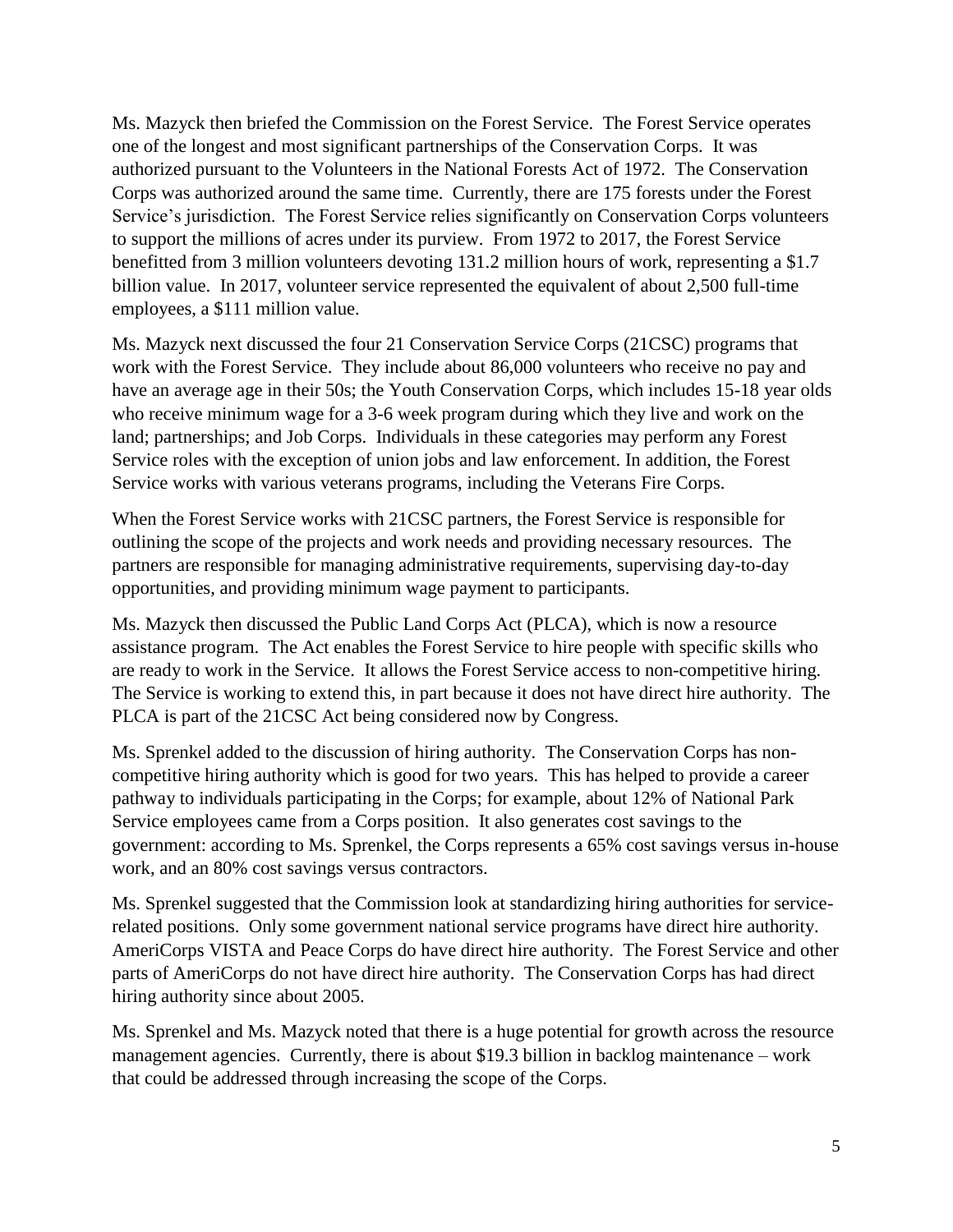Ms. Mazyck then briefed the Commission on the Forest Service. The Forest Service operates one of the longest and most significant partnerships of the Conservation Corps. It was authorized pursuant to the Volunteers in the National Forests Act of 1972. The Conservation Corps was authorized around the same time. Currently, there are 175 forests under the Forest Service's jurisdiction. The Forest Service relies significantly on Conservation Corps volunteers to support the millions of acres under its purview. From 1972 to 2017, the Forest Service benefitted from 3 million volunteers devoting 131.2 million hours of work, representing a \$1.7 billion value. In 2017, volunteer service represented the equivalent of about 2,500 full-time employees, a \$111 million value.

Ms. Mazyck next discussed the four 21 Conservation Service Corps (21CSC) programs that work with the Forest Service. They include about 86,000 volunteers who receive no pay and have an average age in their 50s; the Youth Conservation Corps, which includes 15-18 year olds who receive minimum wage for a 3-6 week program during which they live and work on the land; partnerships; and Job Corps. Individuals in these categories may perform any Forest Service roles with the exception of union jobs and law enforcement. In addition, the Forest Service works with various veterans programs, including the Veterans Fire Corps.

When the Forest Service works with 21CSC partners, the Forest Service is responsible for outlining the scope of the projects and work needs and providing necessary resources. The partners are responsible for managing administrative requirements, supervising day-to-day opportunities, and providing minimum wage payment to participants.

Ms. Mazyck then discussed the Public Land Corps Act (PLCA), which is now a resource assistance program. The Act enables the Forest Service to hire people with specific skills who are ready to work in the Service. It allows the Forest Service access to non-competitive hiring. The Service is working to extend this, in part because it does not have direct hire authority. The PLCA is part of the 21CSC Act being considered now by Congress.

Ms. Sprenkel added to the discussion of hiring authority. The Conservation Corps has noncompetitive hiring authority which is good for two years. This has helped to provide a career pathway to individuals participating in the Corps; for example, about 12% of National Park Service employees came from a Corps position. It also generates cost savings to the government: according to Ms. Sprenkel, the Corps represents a 65% cost savings versus in-house work, and an 80% cost savings versus contractors.

Ms. Sprenkel suggested that the Commission look at standardizing hiring authorities for servicerelated positions. Only some government national service programs have direct hire authority. AmeriCorps VISTA and Peace Corps do have direct hire authority. The Forest Service and other parts of AmeriCorps do not have direct hire authority. The Conservation Corps has had direct hiring authority since about 2005.

Ms. Sprenkel and Ms. Mazyck noted that there is a huge potential for growth across the resource management agencies. Currently, there is about \$19.3 billion in backlog maintenance – work that could be addressed through increasing the scope of the Corps.